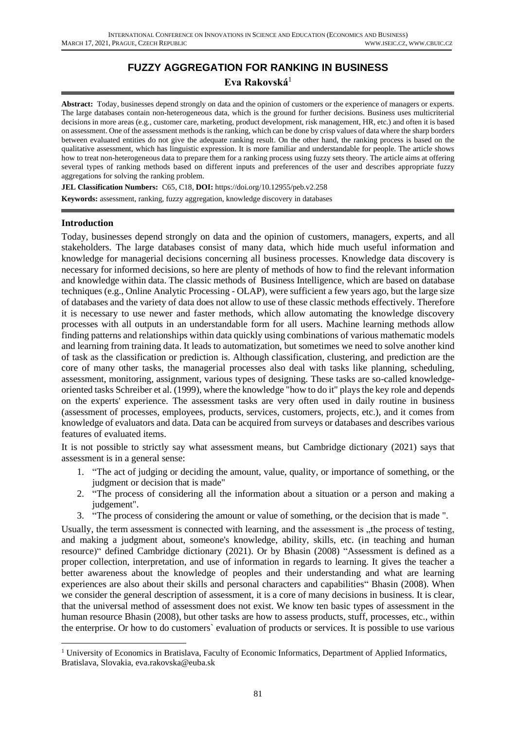# **FUZZY AGGREGATION FOR RANKING IN BUSINESS Eva Rakovská**<sup>1</sup>

**Abstract:** Today, businesses depend strongly on data and the opinion of customers or the experience of managers or experts. The large databases contain non-heterogeneous data, which is the ground for further decisions. Business uses multicriterial decisions in more areas (e.g., customer care, marketing, product development, risk management, HR, etc.) and often it is based on assessment. One of the assessment methods is the ranking, which can be done by crisp values of data where the sharp borders between evaluated entities do not give the adequate ranking result. On the other hand, the ranking process is based on the qualitative assessment, which has linguistic expression. It is more familiar and understandable for people. The article shows how to treat non-heterogeneous data to prepare them for a ranking process using fuzzy sets theory. The article aims at offering several types of ranking methods based on different inputs and preferences of the user and describes appropriate fuzzy aggregations for solving the ranking problem.

**JEL Classification Numbers:** C65, C18, **DOI:** https://doi.org/10.12955/peb.v2.258 **Keywords:** assessment, ranking, fuzzy aggregation, knowledge discovery in databases

### **Introduction**

Today, businesses depend strongly on data and the opinion of customers, managers, experts, and all stakeholders. The large databases consist of many data, which hide much useful information and knowledge for managerial decisions concerning all business processes. Knowledge data discovery is necessary for informed decisions, so here are plenty of methods of how to find the relevant information and knowledge within data. The classic methods of Business Intelligence, which are based on database techniques (e.g., Online Analytic Processing - OLAP), were sufficient a few years ago, but the large size of databases and the variety of data does not allow to use of these classic methods effectively. Therefore it is necessary to use newer and faster methods, which allow automating the knowledge discovery processes with all outputs in an understandable form for all users. Machine learning methods allow finding patterns and relationships within data quickly using combinations of various mathematic models and learning from training data. It leads to automatization, but sometimes we need to solve another kind of task as the classification or prediction is. Although classification, clustering, and prediction are the core of many other tasks, the managerial processes also deal with tasks like planning, scheduling, assessment, monitoring, assignment, various types of designing. These tasks are so-called knowledgeoriented tasks Schreiber et al. (1999), where the knowledge "how to do it" playsthe key role and depends on the experts' experience. The assessment tasks are very often used in daily routine in business (assessment of processes, employees, products, services, customers, projects, etc.), and it comes from knowledge of evaluators and data. Data can be acquired from surveys or databases and describes various features of evaluated items.

It is not possible to strictly say what assessment means, but Cambridge dictionary (2021) says that assessment is in a general sense:

- 1. "The act of judging or deciding the amount, value, quality, or importance of something, or the judgment or decision that is made"
- 2. "The process of considering all the information about a situation or a person and making a judgement".
- 3. "The process of considering the amount or value of something, or the decision that is made ".

Usually, the term assessment is connected with learning, and the assessment is "the process of testing, and making a judgment about, someone's knowledge, ability, skills, etc. (in teaching and human resource)" defined Cambridge dictionary (2021). Or by Bhasin (2008) "Assessment is defined as a proper collection, interpretation, and use of information in regards to learning. It gives the teacher a better awareness about the knowledge of peoples and their understanding and what are learning experiences are also about their skills and personal characters and capabilities" Bhasin (2008). When we consider the general description of assessment, it is a core of many decisions in business. It is clear, that the universal method of assessment does not exist. We know ten basic types of assessment in the human resource Bhasin (2008), but other tasks are how to assess products, stuff, processes, etc., within the enterprise. Or how to do customers` evaluation of products or services. It is possible to use various

<sup>1</sup> University of Economics in Bratislava, Faculty of Economic Informatics, Department of Applied Informatics, Bratislava, Slovakia, eva.rakovska@euba.sk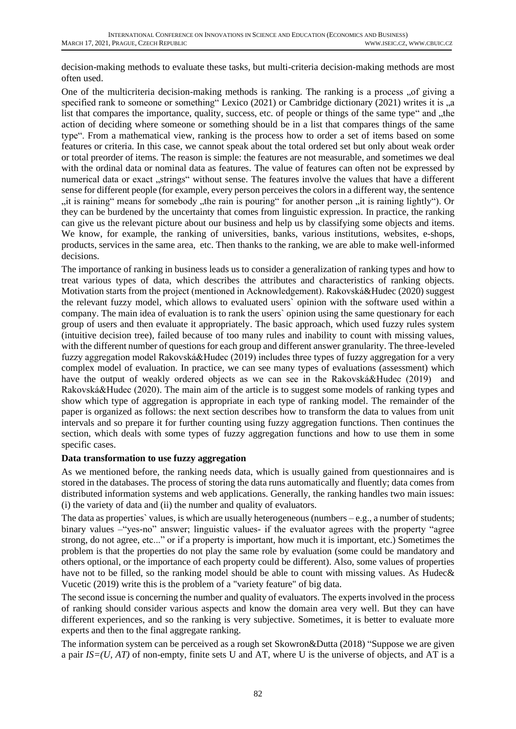decision-making methods to evaluate these tasks, but multi-criteria decision-making methods are most often used.

One of the multicriteria decision-making methods is ranking. The ranking is a process "of giving a specified rank to someone or something" Lexico  $(2021)$  or Cambridge dictionary  $(2021)$  writes it is  $\alpha$ list that compares the importance, quality, success, etc. of people or things of the same type" and "the action of deciding where someone or something should be in a list that compares things of the same type". From a mathematical view, ranking is the process how to order a set of items based on some features or criteria. In this case, we cannot speak about the total ordered set but only about weak order or total preorder of items. The reason is simple: the features are not measurable, and sometimes we deal with the ordinal data or nominal data as features. The value of features can often not be expressed by numerical data or exact "strings" without sense. The features involve the values that have a different sense for different people (for example, every person perceivesthe colors in a different way, the sentence "it is raining" means for somebody "the rain is pouring" for another person "it is raining lightly"). Or they can be burdened by the uncertainty that comes from linguistic expression. In practice, the ranking can give us the relevant picture about our business and help us by classifying some objects and items. We know, for example, the ranking of universities, banks, various institutions, websites, e-shops, products, services in the same area, etc. Then thanks to the ranking, we are able to make well-informed decisions.

The importance of ranking in business leads us to consider a generalization of ranking types and how to treat various types of data, which describes the attributes and characteristics of ranking objects. Motivation starts from the project (mentioned in Acknowledgement). Rakovská&Hudec (2020) suggest the relevant fuzzy model, which allows to evaluated users` opinion with the software used within a company. The main idea of evaluation is to rank the users` opinion using the same questionary for each group of users and then evaluate it appropriately. The basic approach, which used fuzzy rules system (intuitive decision tree), failed because of too many rules and inability to count with missing values, with the different number of questions for each group and different answer granularity. The three-leveled fuzzy aggregation model Rakovská&Hudec (2019) includes three types of fuzzy aggregation for a very complex model of evaluation. In practice, we can see many types of evaluations (assessment) which have the output of weakly ordered objects as we can see in the Rakovská&Hudec (2019) and Rakovská&Hudec (2020). The main aim of the article is to suggest some models of ranking types and show which type of aggregation is appropriate in each type of ranking model. The remainder of the paper is organized as follows: the next section describes how to transform the data to values from unit intervals and so prepare it for further counting using fuzzy aggregation functions. Then continues the section, which deals with some types of fuzzy aggregation functions and how to use them in some specific cases.

### **Data transformation to use fuzzy aggregation**

As we mentioned before, the ranking needs data, which is usually gained from questionnaires and is stored in the databases. The process of storing the data runs automatically and fluently; data comes from distributed information systems and web applications. Generally, the ranking handles two main issues: (i) the variety of data and (ii) the number and quality of evaluators.

The data as properties` values, is which are usually heterogeneous (numbers  $-e.g.,$  a number of students; binary values –"yes-no" answer; linguistic values- if the evaluator agrees with the property "agree strong, do not agree, etc..." or if a property is important, how much it is important, etc.) Sometimes the problem is that the properties do not play the same role by evaluation (some could be mandatory and others optional, or the importance of each property could be different). Also, some values of properties have not to be filled, so the ranking model should be able to count with missing values. As Hudec & Vucetic (2019) write this is the problem of a "variety feature" of big data.

The second issue is concerning the number and quality of evaluators. The experts involved in the process of ranking should consider various aspects and know the domain area very well. But they can have different experiences, and so the ranking is very subjective. Sometimes, it is better to evaluate more experts and then to the final aggregate ranking.

The information system can be perceived as a rough set Skowron&Dutta (2018) "Suppose we are given a pair *IS=(U, AT)* of non-empty, finite sets U and AT, where U is the universe of objects, and AT is a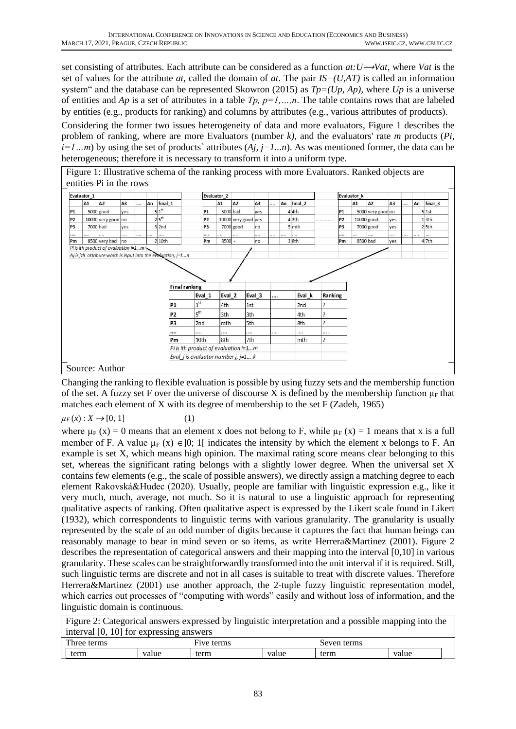set consisting of attributes. Each attribute can be considered as a function  $at:U\rightarrow Vat$ , where *Vat* is the set of values for the attribute *at*, called the domain of *at*. The pair  $IS=(U,AT)$  is called an information system" and the database can be represented Skowron (2015) as *Tp=(Up, Ap),* where *Up* is a universe of entities and *Ap* is a set of attributes in a table *Tp, p=1,…,n*. The table contains rows that are labeled by entities (e.g., products for ranking) and columns by attributes (e.g., various attributes of products).

Considering the former two issues heterogeneity of data and more evaluators, Figure 1 describes the problem of ranking, where are more Evaluators (number *k)*, and the evaluators' rate *m* products (*Pi,*   $i=1...m$ ) by using the set of products' attributes  $(A_i, i=1...n)$ . As was mentioned former, the data can be heterogeneous; therefore it is necessary to transform it into a uniform type.

Figure 1: Illustrative schema of the ranking process with more Evaluators. Ranked objects are entities Pi in the rows

|                | Evaluator_1 |                                        |                |        |                                                              |                                                     | Evaluator 2 |                     |                |          |          |                    |                          |                | Evaluator k |                   |                |          |          |                    |
|----------------|-------------|----------------------------------------|----------------|--------|--------------------------------------------------------------|-----------------------------------------------------|-------------|---------------------|----------------|----------|----------|--------------------|--------------------------|----------------|-------------|-------------------|----------------|----------|----------|--------------------|
|                | A1          | A <sub>2</sub>                         | A <sub>3</sub> | <br>An | final 1                                                      |                                                     | A1          | A <sub>2</sub>      | A <sub>3</sub> |          | An       | final <sub>2</sub> |                          |                | A1          | A <sub>2</sub>    | A <sub>3</sub> |          | An       | final <sub>3</sub> |
| <b>P1</b>      |             | $5000$ good                            | ves            |        | $5 1^{\rm st}$                                               | P <sub>1</sub>                                      | 5000 bad    |                     | <b>ves</b>     |          |          | 44th               |                          | P <sub>1</sub> |             | 5000 very good no |                |          |          | 5 1st              |
| P <sub>2</sub> |             | 10000 very good no                     |                |        | 25 <sup>th</sup>                                             | P <sub>2</sub>                                      |             | 10000 very good yes |                |          |          | 43th               | .                        | P <sub>2</sub> |             | $10000$ good      | ves            |          |          | 13th               |
| P <sub>3</sub> | 7000 bad    |                                        | ves            |        | $3$ 2nd                                                      | P <sub>3</sub>                                      |             | $7000$ good         | Ino            |          |          | $5 \mid mth$       |                          | P <sub>3</sub> |             | $7000$ good       | ves            |          |          | 25th               |
|                |             | .                                      |                | <br>   |                                                              |                                                     |             |                     |                |          | $\cdots$ | .                  |                          |                |             |                   |                | $\cdots$ | $\cdots$ |                    |
| Pm             |             | 8500 very bad no                       |                |        | 2 10th                                                       | Pm                                                  | 8500        |                     | no             |          |          | 38th               |                          | Pm             | 8500 bad    |                   | yes            |          |          | $4$ 7th            |
|                |             | Pi is ith product of evaluation $i=1m$ |                |        | Aj is jth attribute which is input into the evoluation, j=1n |                                                     |             |                     |                |          |          |                    |                          |                |             |                   |                |          |          |                    |
|                |             |                                        |                |        |                                                              |                                                     |             |                     |                |          |          |                    |                          |                |             |                   |                |          |          |                    |
|                |             |                                        |                |        |                                                              |                                                     |             |                     |                |          |          |                    |                          |                |             |                   |                |          |          |                    |
|                |             |                                        |                |        |                                                              | <b>Final ranking</b><br>Eval_1                      | Eval 2      |                     | Eval 3         |          |          | Eval k             | Ranking                  |                |             |                   |                |          |          |                    |
|                |             |                                        |                |        | <b>P1</b>                                                    | 1 <sup>st</sup>                                     | 4th         | 1st                 |                |          |          | 2nd                |                          |                |             |                   |                |          |          |                    |
|                |             |                                        |                |        | P <sub>2</sub>                                               | 5 <sup>th</sup>                                     | 3th         | 3th                 |                |          |          | 4th                | $\overline{\phantom{a}}$ |                |             |                   |                |          |          |                    |
|                |             |                                        |                |        | P <sub>3</sub>                                               | 2nd                                                 | mth         | 5th                 |                |          |          | 8th                | 7                        |                |             |                   |                |          |          |                    |
|                |             |                                        |                |        |                                                              | $\cdots$                                            |             | $\cdots$            |                | $\cdots$ |          |                    |                          |                |             |                   |                |          |          |                    |
|                |             |                                        |                |        | Pm                                                           | 10th                                                | 8th         | 7th                 |                |          |          | mth                | ?                        |                |             |                   |                |          |          |                    |
|                |             |                                        |                |        |                                                              | Pi is ith product of evaluation i=1m                |             |                     |                |          |          |                    |                          |                |             |                   |                |          |          |                    |
|                |             |                                        |                |        |                                                              | Eval <i>j</i> is evaluator number <i>j</i> , $j=1k$ |             |                     |                |          |          |                    |                          |                |             |                   |                |          |          |                    |

Changing the ranking to flexible evaluation is possible by using fuzzy sets and the membership function of the set. A fuzzy set F over the universe of discourse X is defined by the membership function  $\mu_F$  that matches each element of X with its degree of membership to the set F (Zadeh, 1965)

# $\mu_F(x): X \to [0, 1]$  (1)

where  $\mu_F(x) = 0$  means that an element x does not belong to F, while  $\mu_F(x) = 1$  means that x is a full member of F. A value  $\mu_F(x) \in ]0; 1[$  indicates the intensity by which the element x belongs to F. An example is set X, which means high opinion. The maximal rating score means clear belonging to this set, whereas the significant rating belongs with a slightly lower degree. When the universal set X contains few elements (e.g., the scale of possible answers), we directly assign a matching degree to each element Rakovská&Hudec (2020). Usually, people are familiar with linguistic expression e.g., like it very much, much, average, not much. So it is natural to use a linguistic approach for representing qualitative aspects of ranking. Often qualitative aspect is expressed by the Likert scale found in Likert (1932), which correspondents to linguistic terms with various granularity. The granularity is usually represented by the scale of an odd number of digits because it captures the fact that human beings can reasonably manage to bear in mind seven or so items, as write Herrera&Martinez (2001). Figure 2 describes the representation of categorical answers and their mapping into the interval [0,10] in various granularity. These scales can be straightforwardly transformed into the unit interval if it is required. Still, such linguistic terms are discrete and not in all cases is suitable to treat with discrete values. Therefore Herrera&Martinez (2001) use another approach, the 2-tuple fuzzy linguistic representation model, which carries out processes of "computing with words" easily and without loss of information, and the linguistic domain is continuous.

| Figure 2: Categorical answers expressed by linguistic interpretation and a possible mapping into the |       |            |       |             |       |  |
|------------------------------------------------------------------------------------------------------|-------|------------|-------|-------------|-------|--|
| interval $[0, 10]$ for expressing answers                                                            |       |            |       |             |       |  |
| Three terms                                                                                          |       | Five terms |       | Seven terms |       |  |
| term                                                                                                 | value | term       | value | term        | value |  |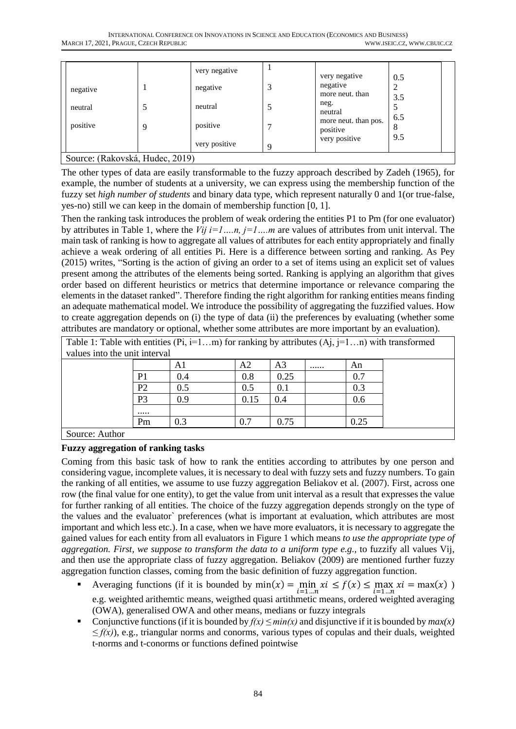| negative                        |   | very negative<br>negative |   | very negative<br>negative                         | 0.5<br>2   |
|---------------------------------|---|---------------------------|---|---------------------------------------------------|------------|
| neutral                         |   | neutral                   |   | more neut. than<br>neg.<br>neutral                | 3.5<br>6.5 |
| positive                        | Q | positive<br>very positive |   | more neut. than pos.<br>positive<br>very positive | 8<br>9.5   |
| Source: (Rakovská, Hudec, 2019) |   |                           | Q |                                                   |            |

The other types of data are easily transformable to the fuzzy approach described by Zadeh (1965), for example, the number of students at a university, we can express using the membership function of the fuzzy set *high number of students* and binary data type, which represent naturally 0 and 1(or true-false, yes-no) still we can keep in the domain of membership function [0, 1].

Then the ranking task introduces the problem of weak ordering the entities P1 to Pm (for one evaluator) by attributes in Table 1, where the *Vij i=1….n, j=1….m* are values of attributes from unit interval. The main task of ranking is how to aggregate all values of attributes for each entity appropriately and finally achieve a weak ordering of all entities Pi. Here is a difference between sorting and ranking. As Pey (2015) writes, "Sorting is the action of giving an order to a set of items using an explicit set of values present among the attributes of the elements being sorted. Ranking is applying an algorithm that gives order based on different heuristics or metrics that determine importance or relevance comparing the elements in the dataset ranked". Therefore finding the right algorithm for ranking entities means finding an adequate mathematical model. We introduce the possibility of aggregating the fuzzified values. How to create aggregation depends on (i) the type of data (ii) the preferences by evaluating (whether some attributes are mandatory or optional, whether some attributes are more important by an evaluation).

| Table 1: Table with entities (Pi, i=1m) for ranking by attributes (Aj, j=1n) with transformed |                |     |                |                |        |  |
|-----------------------------------------------------------------------------------------------|----------------|-----|----------------|----------------|--------|--|
| values into the unit interval                                                                 |                |     |                |                |        |  |
|                                                                                               |                | A1  | A <sub>2</sub> | A <sub>3</sub> | <br>An |  |
|                                                                                               | P <sub>1</sub> | 0.4 | 0.8            | 0.25           | 0.7    |  |
|                                                                                               | P <sub>2</sub> | 0.5 | 0.5            | 0.1            | 0.3    |  |
|                                                                                               | P <sub>3</sub> | 0.9 | 0.15           | 0.4            | 0.6    |  |
|                                                                                               |                |     |                |                |        |  |
|                                                                                               | Pm             | 0.3 | 0.7            | 0.75           | 0.25   |  |
| $\sum_{\alpha}$                                                                               |                |     |                |                |        |  |

ruice: Author

# **Fuzzy aggregation of ranking tasks**

Coming from this basic task of how to rank the entities according to attributes by one person and considering vague, incomplete values, it is necessary to deal with fuzzy sets and fuzzy numbers. To gain the ranking of all entities, we assume to use fuzzy aggregation Beliakov et al. (2007). First, across one row (the final value for one entity), to get the value from unit interval as a result that expresses the value for further ranking of all entities. The choice of the fuzzy aggregation depends strongly on the type of the values and the evaluator` preferences (what is important at evaluation, which attributes are most important and which less etc.). In a case, when we have more evaluators, it is necessary to aggregate the gained values for each entity from all evaluators in Figure 1 which means *to use the appropriate type of aggregation. First, we suppose to transform the data to a uniform type e.g.,* to fuzzify all values Vij, and then use the appropriate class of fuzzy aggregation. Beliakov (2009) are mentioned further fuzzy aggregation function classes, coming from the basic definition of fuzzy aggregation function.

- Averaging functions (if it is bounded by  $min(x) = min_{i=1...n} x_i \le f(x) \le max_{i=1...n} x_i = max(x)$ ) e.g. weighted arithemtic means, weigthed quasi artithmetic means, ordered weighted averaging (OWA), generalised OWA and other means, medians or fuzzy integrals
- Conjunctive functions (if it is bounded by  $f(x) \leq min(x)$  and disjunctive if it is bounded by  $max(x)$ *≤ f(x)*), e.g., triangular norms and conorms, various types of copulas and their duals, weighted t-norms and t-conorms or functions defined pointwise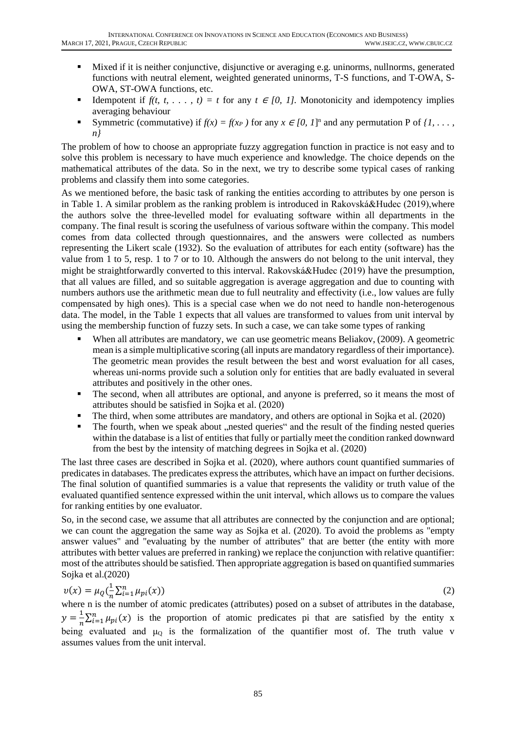- Mixed if it is neither conjunctive, disjunctive or averaging e.g. uninorms, nullnorms, generated functions with neutral element, weighted generated uninorms, T-S functions, and T-OWA, S-OWA, ST-OWA functions, etc.
- Idempotent if  $f(t, t, ..., t) = t$  for any  $t \in [0, 1]$ . Monotonicity and idempotency implies averaging behaviour
- Symmetric (commutative) if  $f(x) = f(x_P)$  for any  $x \in [0, 1]$ <sup>n</sup> and any permutation P of  $\{1, \ldots,$ *n}*

The problem of how to choose an appropriate fuzzy aggregation function in practice is not easy and to solve this problem is necessary to have much experience and knowledge. The choice depends on the mathematical attributes of the data. So in the next, we try to describe some typical cases of ranking problems and classify them into some categories.

As we mentioned before, the basic task of ranking the entities according to attributes by one person is in Table 1. A similar problem as the ranking problem is introduced in Rakovská&Hudec (2019),where the authors solve the three-levelled model for evaluating software within all departments in the company. The final result is scoring the usefulness of various software within the company. This model comes from data collected through questionnaires, and the answers were collected as numbers representing the Likert scale (1932). So the evaluation of attributes for each entity (software) has the value from 1 to 5, resp. 1 to 7 or to 10. Although the answers do not belong to the unit interval, they might be straightforwardly converted to this interval. Rakovská&Hudec (2019) have the presumption, that all values are filled, and so suitable aggregation is average aggregation and due to counting with numbers authors use the arithmetic mean due to full neutrality and effectivity (i.e., low values are fully compensated by high ones). This is a special case when we do not need to handle non-heterogenous data. The model, in the Table 1 expects that all values are transformed to values from unit interval by using the membership function of fuzzy sets. In such a case, we can take some types of ranking

- When all attributes are mandatory, we can use geometric means Beliakov, (2009). A geometric mean is a simple multiplicative scoring (all inputs are mandatory regardless of their importance). The geometric mean provides the result between the best and worst evaluation for all cases, whereas uni-norms provide such a solution only for entities that are badly evaluated in several attributes and positively in the other ones.
- **•** The second, when all attributes are optional, and anyone is preferred, so it means the most of attributes should be satisfied in Sojka et al. (2020)
- The third, when some attributes are mandatory, and others are optional in Sojka et al. (2020)
- The fourth, when we speak about , nested queries" and the result of the finding nested queries within the database is a list of entities that fully or partially meet the condition ranked downward from the best by the intensity of matching degrees in Sojka et al. (2020)

The last three cases are described in Sojka et al. (2020), where authors count quantified summaries of predicates in databases. The predicates express the attributes, which have an impact on further decisions. The final solution of quantified summaries is a value that represents the validity or truth value of the evaluated quantified sentence expressed within the unit interval, which allows us to compare the values for ranking entities by one evaluator.

So, in the second case, we assume that all attributes are connected by the conjunction and are optional; we can count the aggregation the same way as Sojka et al. (2020). To avoid the problems as "empty answer values" and "evaluating by the number of attributes" that are better (the entity with more attributes with better values are preferred in ranking) we replace the conjunction with relative quantifier: most of the attributes should be satisfied. Then appropriate aggregation is based on quantified summaries Sojka et al.(2020)

$$
v(x) = \mu_Q(\frac{1}{n}\sum_{i=1}^n \mu_{pi}(x))
$$
\n(2)

where n is the number of atomic predicates (attributes) posed on a subset of attributes in the database,  $y=\frac{1}{x}$  $\frac{1}{n}\sum_{i=1}^{n}\mu_{pi}(x)$  is the proportion of atomic predicates pi that are satisfied by the entity x being evaluated and  $\mu_0$  is the formalization of the quantifier most of. The truth value v assumes values from the unit interval.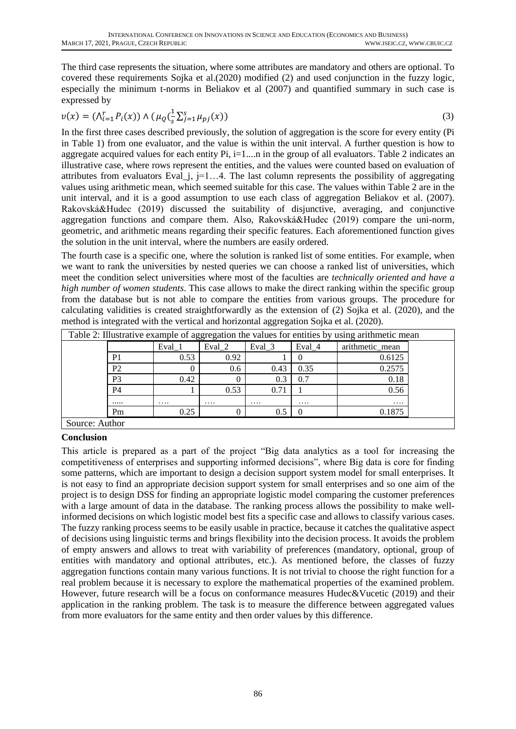The third case represents the situation, where some attributes are mandatory and others are optional. To covered these requirements Sojka et al.(2020) modified (2) and used conjunction in the fuzzy logic, especially the minimum t-norms in Beliakov et al (2007) and quantified summary in such case is expressed by

$$
v(x) = (\Lambda_{i=1}^r P_i(x)) \wedge (\mu_Q(\frac{1}{s} \Sigma_{j=1}^s \mu_{pj}(x))
$$
\n(3)

In the first three cases described previously, the solution of aggregation is the score for every entity (Pi in Table 1) from one evaluator, and the value is within the unit interval. A further question is how to aggregate acquired values for each entity  $Pi$ ,  $i=1...n$  in the group of all evaluators. Table 2 indicates an illustrative case, where rows represent the entities, and the values were counted based on evaluation of attributes from evaluators Eval<sub>l</sub>i,  $j=1...4$ . The last column represents the possibility of aggregating values using arithmetic mean, which seemed suitable for this case. The values within Table 2 are in the unit interval, and it is a good assumption to use each class of aggregation Beliakov et al. (2007). Rakovská&Hudec (2019) discussed the suitability of disjunctive, averaging, and conjunctive aggregation functions and compare them. Also, Rakovská&Hudec (2019) compare the uni-norm, geometric, and arithmetic means regarding their specific features. Each aforementioned function gives the solution in the unit interval, where the numbers are easily ordered.

The fourth case is a specific one, where the solution is ranked list of some entities. For example, when we want to rank the universities by nested queries we can choose a ranked list of universities, which meet the condition select universities where most of the faculties are *technically oriented and have a high number of women students*. This case allows to make the direct ranking within the specific group from the database but is not able to compare the entities from various groups. The procedure for calculating validities is created straightforwardly as the extension of (2) Sojka et al. (2020), and the method is integrated with the vertical and horizontal aggregation Sojka et al. (2020).

|                | Eval 1   | Eval 2 | Eval 3   | Eval 4   | arithmetic mean |
|----------------|----------|--------|----------|----------|-----------------|
| P <sub>1</sub> | 0.53     | 0.92   |          |          | 0.6125          |
| P <sub>2</sub> |          | 0.6    | 0.43     | 0.35     | 0.2575          |
| P <sub>3</sub> | 0.42     |        | 0.3      | 0.7      | 0.18            |
| <b>P4</b>      |          | 0.53   | 0.71     |          | 0.56            |
|                | $\cdots$ | .      | $\cdots$ | $\cdots$ | $\cdots$        |
| Pm             | 0.25     |        | 0.5      |          | 0.1875          |

### **Conclusion**

This article is prepared as a part of the project "Big data analytics as a tool for increasing the competitiveness of enterprises and supporting informed decisions", where Big data is core for finding some patterns, which are important to design a decision support system model for small enterprises. It is not easy to find an appropriate decision support system for small enterprises and so one aim of the project is to design DSS for finding an appropriate logistic model comparing the customer preferences with a large amount of data in the database. The ranking process allows the possibility to make wellinformed decisions on which logistic model best fits a specific case and allows to classify various cases. The fuzzy ranking process seems to be easily usable in practice, because it catches the qualitative aspect of decisions using linguistic terms and brings flexibility into the decision process. It avoids the problem of empty answers and allows to treat with variability of preferences (mandatory, optional, group of entities with mandatory and optional attributes, etc.). As mentioned before, the classes of fuzzy aggregation functions contain many various functions. It is not trivial to choose the right function for a real problem because it is necessary to explore the mathematical properties of the examined problem. However, future research will be a focus on conformance measures Hudec&Vucetic (2019) and their application in the ranking problem. The task is to measure the difference between aggregated values from more evaluators for the same entity and then order values by this difference.